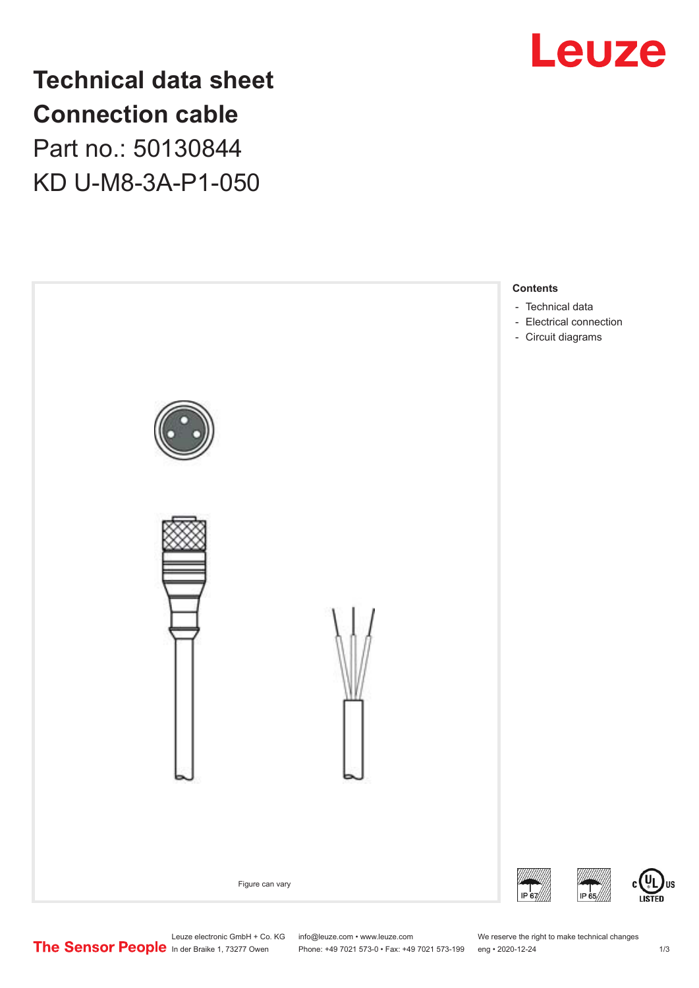

**Technical data sheet Connection cable** Part no.: 50130844 KD U-M8-3A-P1-050



Leuze electronic GmbH + Co. KG info@leuze.com • www.leuze.com We reserve the right to make technical changes<br>
The Sensor People in der Braike 1, 73277 Owen Phone: +49 7021 573-0 • Fax: +49 7021 573-199 eng • 2020-12-24

Phone: +49 7021 573-0 • Fax: +49 7021 573-199 eng • 2020-12-24 1 2020-12-24

US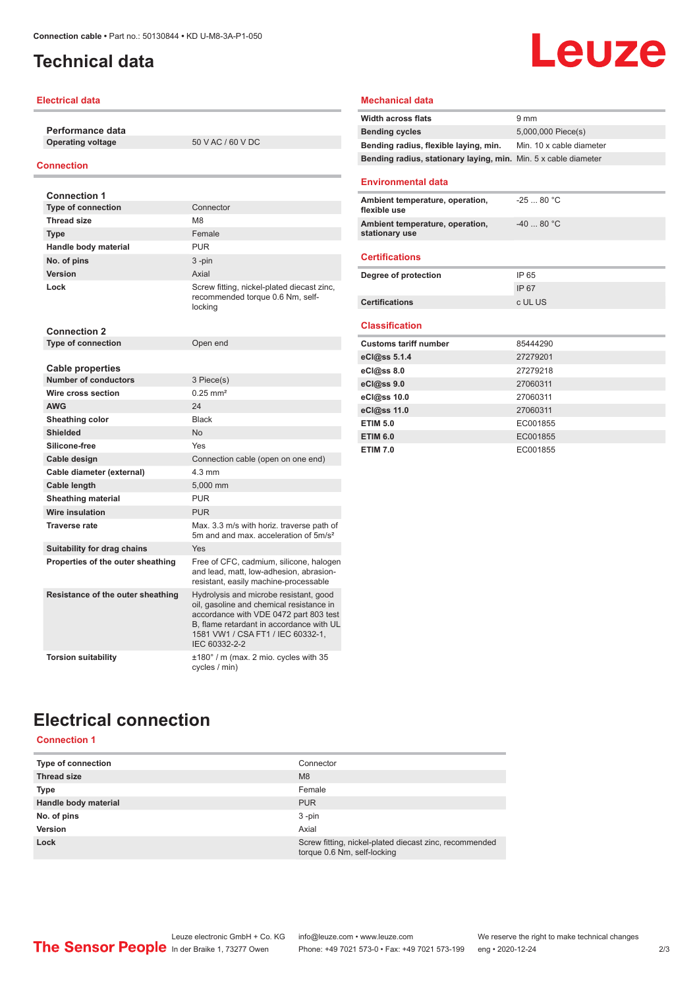## <span id="page-1-0"></span>**Technical data**

### **Electrical data**

**Performance data Operating voltage** 50 V AC / 60 V DC

### **Connection**

| <b>Connection 1</b>               |                                                                                                                                                                                                                                |
|-----------------------------------|--------------------------------------------------------------------------------------------------------------------------------------------------------------------------------------------------------------------------------|
| <b>Type of connection</b>         | Connector                                                                                                                                                                                                                      |
| <b>Thread size</b>                | M <sub>8</sub>                                                                                                                                                                                                                 |
| <b>Type</b>                       | Female                                                                                                                                                                                                                         |
| Handle body material              | <b>PUR</b>                                                                                                                                                                                                                     |
| No. of pins                       | 3-pin                                                                                                                                                                                                                          |
| Version                           | Axial                                                                                                                                                                                                                          |
| Lock                              | Screw fitting, nickel-plated diecast zinc,<br>recommended torque 0.6 Nm, self-<br>locking                                                                                                                                      |
| <b>Connection 2</b>               |                                                                                                                                                                                                                                |
| <b>Type of connection</b>         | Open end                                                                                                                                                                                                                       |
| <b>Cable properties</b>           |                                                                                                                                                                                                                                |
| <b>Number of conductors</b>       | 3 Piece(s)                                                                                                                                                                                                                     |
| Wire cross section                | $0.25$ mm <sup>2</sup>                                                                                                                                                                                                         |
| <b>AWG</b>                        | 24                                                                                                                                                                                                                             |
| Sheathing color                   | <b>Black</b>                                                                                                                                                                                                                   |
| <b>Shielded</b>                   | N <sub>o</sub>                                                                                                                                                                                                                 |
| Silicone-free                     | Yes                                                                                                                                                                                                                            |
| Cable design                      | Connection cable (open on one end)                                                                                                                                                                                             |
| Cable diameter (external)         | $4.3 \text{ mm}$                                                                                                                                                                                                               |
| <b>Cable length</b>               | 5,000 mm                                                                                                                                                                                                                       |
| <b>Sheathing material</b>         | PUR                                                                                                                                                                                                                            |
| <b>Wire insulation</b>            | <b>PUR</b>                                                                                                                                                                                                                     |
| <b>Traverse rate</b>              | Max. 3.3 m/s with horiz. traverse path of<br>5m and and max, acceleration of 5m/s <sup>2</sup>                                                                                                                                 |
| Suitability for drag chains       | Yes                                                                                                                                                                                                                            |
| Properties of the outer sheathing | Free of CFC, cadmium, silicone, halogen<br>and lead, matt, low-adhesion, abrasion-<br>resistant, easily machine-processable                                                                                                    |
| Resistance of the outer sheathing | Hydrolysis and microbe resistant, good<br>oil, gasoline and chemical resistance in<br>accordance with VDE 0472 part 803 test<br>B, flame retardant in accordance with UL<br>1581 VW1 / CSA FT1 / IEC 60332-1,<br>IEC 60332-2-2 |
| <b>Torsion suitability</b>        | ±180° / m (max. 2 mio. cycles with 35<br>cycles / min)                                                                                                                                                                         |

#### **Mechanical data**

| <b>Width across flats</b>                                       | $9 \text{ mm}$           |
|-----------------------------------------------------------------|--------------------------|
| <b>Bending cycles</b>                                           | 5,000,000 Piece(s)       |
| Bending radius, flexible laying, min.                           | Min. 10 x cable diameter |
| Bending radius, stationary laying, min. Min. 5 x cable diameter |                          |
|                                                                 |                          |
| <b>Environmental data</b>                                       |                          |
| Ambient temperature, operation,<br>flexible use                 | $-2580 °C$               |
| Ambient temperature, operation,<br>stationary use               | $-4080 °C$               |
| <b>Certifications</b>                                           |                          |
| Degree of protection                                            | IP 65                    |
|                                                                 | IP 67                    |
|                                                                 |                          |
| <b>Certifications</b>                                           | c UL US                  |
|                                                                 |                          |
| <b>Classification</b>                                           |                          |
| <b>Customs tariff number</b>                                    | 85444290                 |
| eCl@ss 5.1.4                                                    | 27279201                 |
| eCl@ss 8.0                                                      | 27279218                 |
| eCl@ss 9.0                                                      | 27060311                 |
| eCl@ss 10.0                                                     | 27060311                 |
| eCl@ss 11.0                                                     | 27060311                 |
| <b>ETIM 5.0</b>                                                 | EC001855                 |
| <b>ETIM 6.0</b>                                                 | EC001855                 |

**Leuze** 

# **Electrical connection**

**Connection 1**

| Type of connection   | Connector                                                                             |
|----------------------|---------------------------------------------------------------------------------------|
| <b>Thread size</b>   | M8                                                                                    |
| <b>Type</b>          | Female                                                                                |
| Handle body material | <b>PUR</b>                                                                            |
| No. of pins          | $3 - pin$                                                                             |
| Version              | Axial                                                                                 |
| Lock                 | Screw fitting, nickel-plated diecast zinc, recommended<br>torque 0.6 Nm, self-locking |